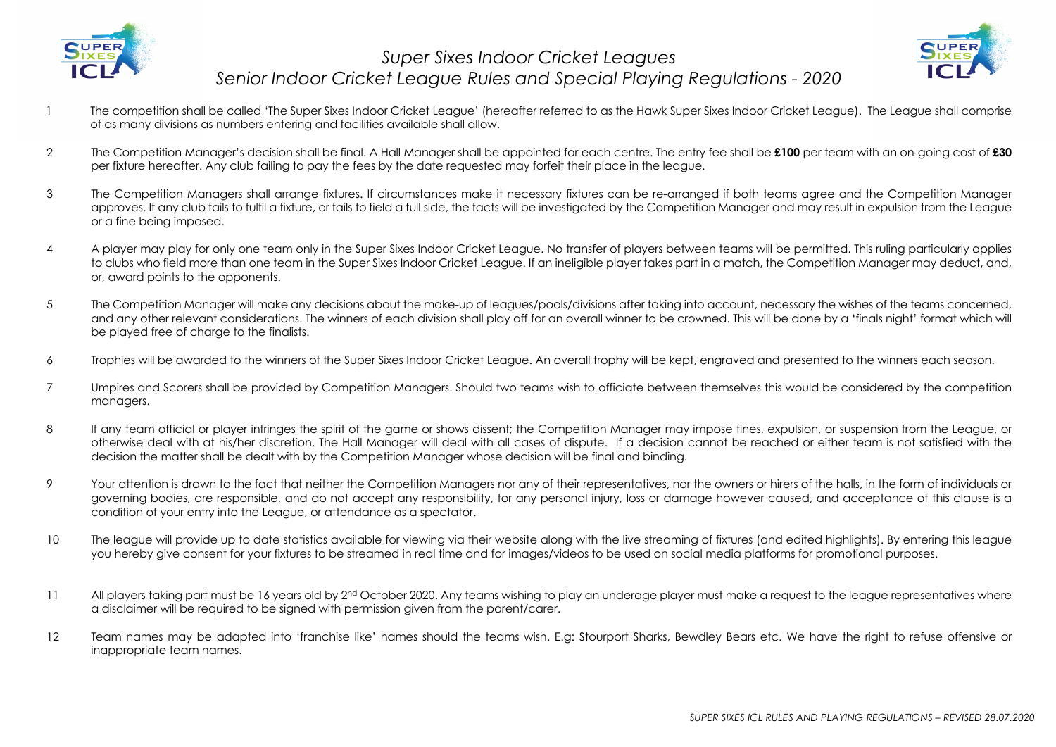



- 1 The competition shall be called 'The Super Sixes Indoor Cricket League' (hereafter referred to as the Hawk Super Sixes Indoor Cricket League). The League shall comprise of as many divisions as numbers entering and facilities available shall allow.
- 2 The Competition Manager's decision shall be final. A Hall Manager shall be appointed for each centre. The entry fee shall be **£100** per team with an on-going cost of **£30** per fixture hereafter. Any club failing to pay the fees by the date requested may forfeit their place in the league.
- 3 The Competition Managers shall arrange fixtures. If circumstances make it necessary fixtures can be re-arranged if both teams agree and the Competition Manager approves. If any club fails to fulfil a fixture, or fails to field a full side, the facts will be investigated by the Competition Manager and may result in expulsion from the League or a fine being imposed.
- 4 A player may play for only one team only in the Super Sixes Indoor Cricket League. No transfer of players between teams will be permitted. This ruling particularly applies to clubs who field more than one team in the Super Sixes Indoor Cricket League. If an ineligible player takes part in a match, the Competition Manager may deduct, and, or, award points to the opponents.
- 5 The Competition Manager will make any decisions about the make-up of leagues/pools/divisions after taking into account, necessary the wishes of the teams concerned, and any other relevant considerations. The winners of each division shall play off for an overall winner to be crowned. This will be done by a 'finals night' format which will be played free of charge to the finalists.
- 6 Trophies will be awarded to the winners of the Super Sixes Indoor Cricket League. An overall trophy will be kept, engraved and presented to the winners each season.
- 7 Umpires and Scorers shall be provided by Competition Managers. Should two teams wish to officiate between themselves this would be considered by the competition managers.
- 8 If any team official or player infringes the spirit of the game or shows dissent; the Competition Manager may impose fines, expulsion, or suspension from the League, or otherwise deal with at his/her discretion. The Hall Manager will deal with all cases of dispute. If a decision cannot be reached or either team is not satisfied with the decision the matter shall be dealt with by the Competition Manager whose decision will be final and binding.
- 9 Your attention is drawn to the fact that neither the Competition Managers nor any of their representatives, nor the owners or hirers of the halls, in the form of individuals or governing bodies, are responsible, and do not accept any responsibility, for any personal injury, loss or damage however caused, and acceptance of this clause is a condition of your entry into the League, or attendance as a spectator.
- 10 The league will provide up to date statistics available for viewing via their website along with the live streaming of fixtures (and edited highlights). By entering this league you hereby give consent for your fixtures to be streamed in real time and for images/videos to be used on social media platforms for promotional purposes.
- 11 All players taking part must be 16 years old by 2<sup>nd</sup> October 2020. Any teams wishing to play an underage player must make a request to the league representatives where a disclaimer will be required to be signed with permission given from the parent/carer.
- 12 Team names may be adapted into 'franchise like' names should the teams wish. E.g: Stourport Sharks, Bewdley Bears etc. We have the right to refuse offensive or inappropriate team names.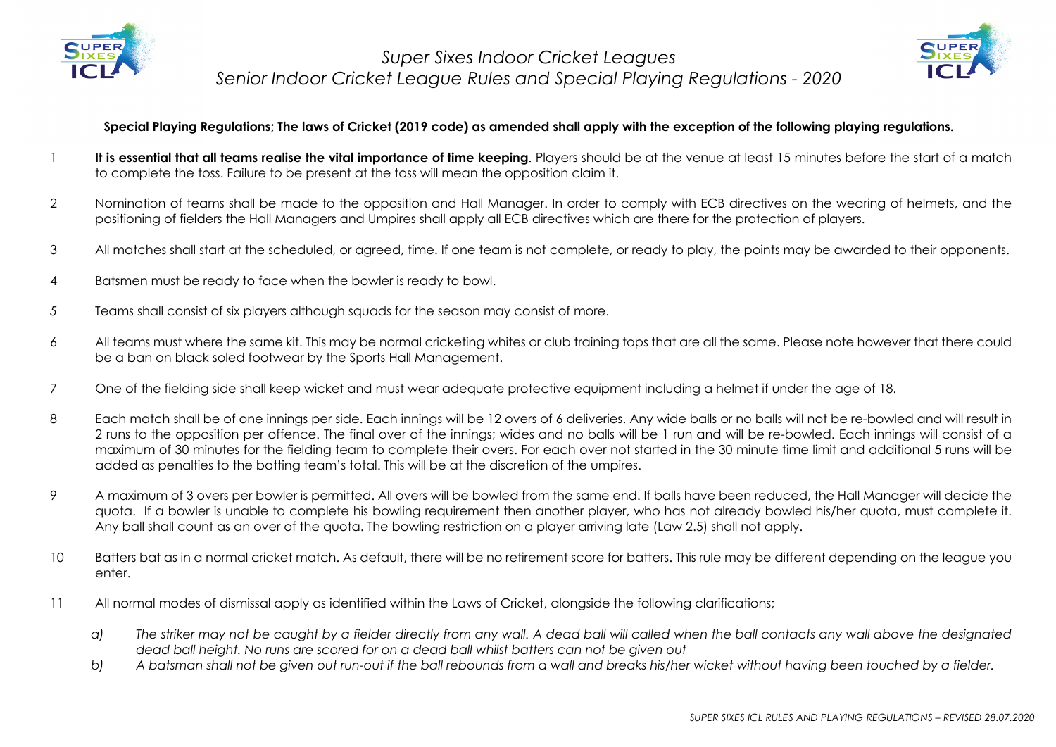



#### **Special Playing Regulations; The laws of Cricket (2019 code) as amended shall apply with the exception of the following playing regulations.**

- 1 **It is essential that all teams realise the vital importance of time keeping**. Players should be at the venue at least 15 minutes before the start of a match to complete the toss. Failure to be present at the toss will mean the opposition claim it.
- 2 Nomination of teams shall be made to the opposition and Hall Manager. In order to comply with ECB directives on the wearing of helmets, and the positioning of fielders the Hall Managers and Umpires shall apply all ECB directives which are there for the protection of players.
- 3 All matches shall start at the scheduled, or agreed, time. If one team is not complete, or ready to play, the points may be awarded to their opponents.
- 4 Batsmen must be ready to face when the bowler is ready to bowl.
- *5* Teams shall consist of six players although squads for the season may consist of more.
- 6 All teams must where the same kit. This may be normal cricketing whites or club training tops that are all the same. Please note however that there could be a ban on black soled footwear by the Sports Hall Management.
- 7 One of the fielding side shall keep wicket and must wear adequate protective equipment including a helmet if under the age of 18.
- 8 Each match shall be of one innings per side. Each innings will be 12 overs of 6 deliveries. Any wide balls or no balls will not be re-bowled and will result in 2 runs to the opposition per offence. The final over of the innings; wides and no balls will be 1 run and will be re-bowled. Each innings will consist of a maximum of 30 minutes for the fielding team to complete their overs. For each over not started in the 30 minute time limit and additional 5 runs will be added as penalties to the batting team's total. This will be at the discretion of the umpires.
- 9 A maximum of 3 overs per bowler is permitted. All overs will be bowled from the same end. If balls have been reduced, the Hall Manager will decide the quota. If a bowler is unable to complete his bowling requirement then another player, who has not already bowled his/her quota, must complete it. Any ball shall count as an over of the quota. The bowling restriction on a player arriving late (Law 2.5) shall not apply.
- 10 Batters bat as in a normal cricket match. As default, there will be no retirement score for batters. This rule may be different depending on the league you enter.
- 11 All normal modes of dismissal apply as identified within the Laws of Cricket, alongside the following clarifications;
	- *a) The striker may not be caught by a fielder directly from any wall. A dead ball will called when the ball contacts any wall above the designated dead ball height. No runs are scored for on a dead ball whilst batters can not be given out*
	- *b) A batsman shall not be given out run-out if the ball rebounds from a wall and breaks his/her wicket without having been touched by a fielder.*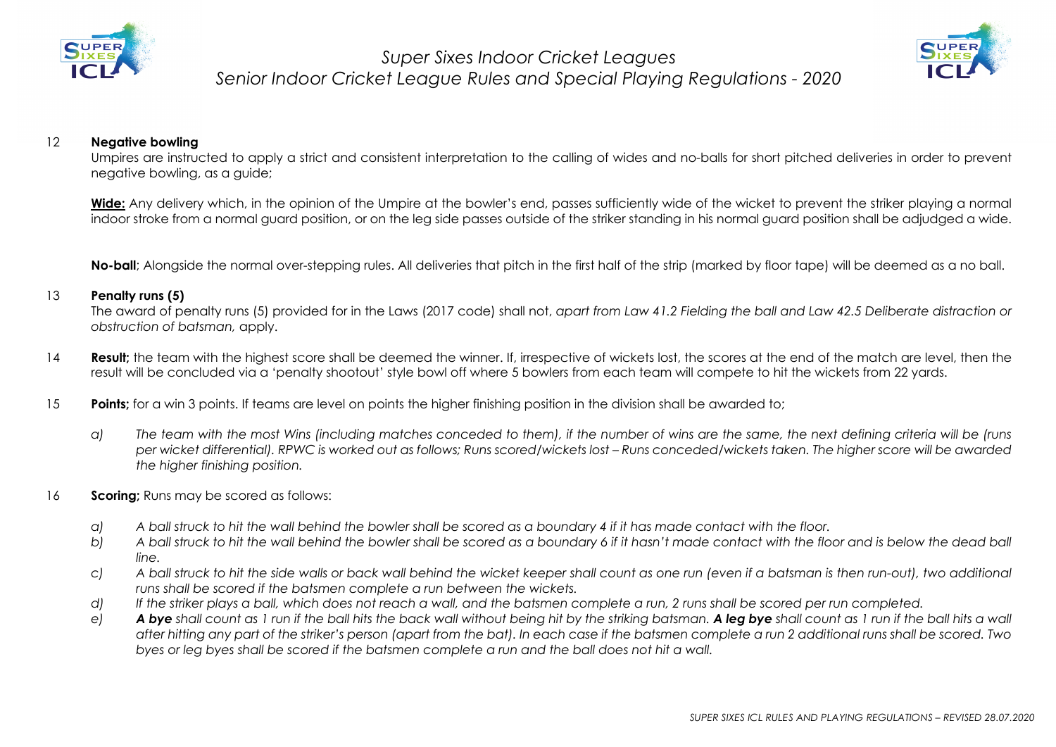



#### 12 **Negative bowling**

Umpires are instructed to apply a strict and consistent interpretation to the calling of wides and no-balls for short pitched deliveries in order to prevent negative bowling, as a guide;

Wide: Any delivery which, in the opinion of the Umpire at the bowler's end, passes sufficiently wide of the wicket to prevent the striker playing a normal indoor stroke from a normal guard position, or on the leg side passes outside of the striker standing in his normal guard position shall be adjudged a wide.

**No-ball**; Alongside the normal over-stepping rules. All deliveries that pitch in the first half of the strip (marked by floor tape) will be deemed as a no ball.

#### 13 **Penalty runs (5)**

The award of penalty runs (5) provided for in the Laws (2017 code) shall not, *apart from Law 41.2 Fielding the ball and Law 42.5 Deliberate distraction or obstruction of batsman,* apply.

- 14 **Result;** the team with the highest score shall be deemed the winner. If, irrespective of wickets lost, the scores at the end of the match are level, then the result will be concluded via a 'penalty shootout' style bowl off where 5 bowlers from each team will compete to hit the wickets from 22 yards.
- 15 **Points**; for a win 3 points. If teams are level on points the higher finishing position in the division shall be awarded to;
	- *a) The team with the most Wins (including matches conceded to them), if the number of wins are the same, the next defining criteria will be (runs per wicket differential). RPWC is worked out as follows; Runs scored/wickets lost – Runs conceded/wickets taken. The higher score will be awarded the higher finishing position.*
- 16 **Scoring;** Runs may be scored as follows:
	- *a) A ball struck to hit the wall behind the bowler shall be scored as a boundary 4 if it has made contact with the floor.*
	- *b) A ball struck to hit the wall behind the bowler shall be scored as a boundary 6 if it hasn't made contact with the floor and is below the dead ball line.*
	- *c) A ball struck to hit the side walls or back wall behind the wicket keeper shall count as one run (even if a batsman is then run-out), two additional runs shall be scored if the batsmen complete a run between the wickets.*
	- *d) If the striker plays a ball, which does not reach a wall, and the batsmen complete a run, 2 runs shall be scored per run completed.*
	- *e) A bye shall count as 1 run if the ball hits the back wall without being hit by the striking batsman. A leg bye shall count as 1 run if the ball hits a wall after hitting any part of the striker's person (apart from the bat). In each case if the batsmen complete a run 2 additional runs shall be scored. Two byes or leg byes shall be scored if the batsmen complete a run and the ball does not hit a wall.*